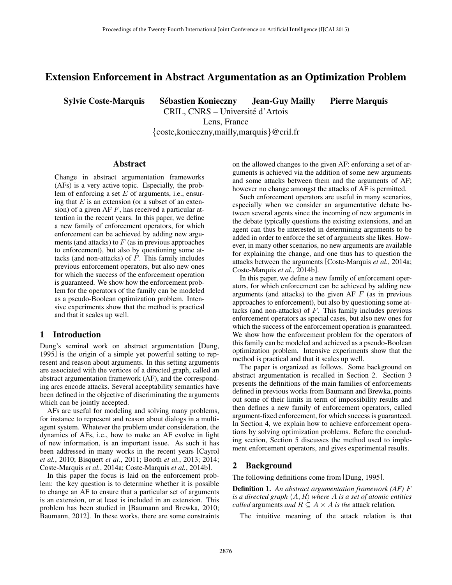# Extension Enforcement in Abstract Argumentation as an Optimization Problem

Sylvie Coste-Marquis Sebastien Konieczny Jean-Guy Mailly Pierre Marquis ´

CRIL, CNRS – Universite d'Artois ´ Lens, France

{coste,konieczny,mailly,marquis}@cril.fr

#### Abstract

Change in abstract argumentation frameworks (AFs) is a very active topic. Especially, the problem of enforcing a set  $E$  of arguments, i.e., ensuring that  $E$  is an extension (or a subset of an extension) of a given AF  $F$ , has received a particular attention in the recent years. In this paper, we define a new family of enforcement operators, for which enforcement can be achieved by adding new arguments (and attacks) to  $F$  (as in previous approaches to enforcement), but also by questioning some attacks (and non-attacks) of  $F$ . This family includes previous enforcement operators, but also new ones for which the success of the enforcement operation is guaranteed. We show how the enforcement problem for the operators of the family can be modeled as a pseudo-Boolean optimization problem. Intensive experiments show that the method is practical and that it scales up well.

## 1 Introduction

Dung's seminal work on abstract argumentation [Dung, 1995] is the origin of a simple yet powerful setting to represent and reason about arguments. In this setting arguments are associated with the vertices of a directed graph, called an abstract argumentation framework (AF), and the corresponding arcs encode attacks. Several acceptability semantics have been defined in the objective of discriminating the arguments which can be jointly accepted.

AFs are useful for modeling and solving many problems, for instance to represent and reason about dialogs in a multiagent system. Whatever the problem under consideration, the dynamics of AFs, i.e., how to make an AF evolve in light of new information, is an important issue. As such it has been addressed in many works in the recent years [Cayrol *et al.*, 2010; Bisquert *et al.*, 2011; Booth *et al.*, 2013; 2014; Coste-Marquis *et al.*, 2014a; Coste-Marquis *et al.*, 2014b].

In this paper the focus is laid on the enforcement problem: the key question is to determine whether it is possible to change an AF to ensure that a particular set of arguments is an extension, or at least is included in an extension. This problem has been studied in [Baumann and Brewka, 2010; Baumann, 2012]. In these works, there are some constraints on the allowed changes to the given AF: enforcing a set of arguments is achieved via the addition of some new arguments and some attacks between them and the arguments of AF; however no change amongst the attacks of AF is permitted.

Such enforcement operators are useful in many scenarios, especially when we consider an argumentative debate between several agents since the incoming of new arguments in the debate typically questions the existing extensions, and an agent can thus be interested in determining arguments to be added in order to enforce the set of arguments she likes. However, in many other scenarios, no new arguments are available for explaining the change, and one thus has to question the attacks between the arguments [Coste-Marquis *et al.*, 2014a; Coste-Marquis *et al.*, 2014b].

In this paper, we define a new family of enforcement operators, for which enforcement can be achieved by adding new arguments (and attacks) to the given AF  $F$  (as in previous approaches to enforcement), but also by questioning some attacks (and non-attacks) of  $F$ . This family includes previous enforcement operators as special cases, but also new ones for which the success of the enforcement operation is guaranteed. We show how the enforcement problem for the operators of this family can be modeled and achieved as a pseudo-Boolean optimization problem. Intensive experiments show that the method is practical and that it scales up well.

The paper is organized as follows. Some background on abstract argumentation is recalled in Section 2. Section 3 presents the definitions of the main families of enforcements defined in previous works from Baumann and Brewka, points out some of their limits in term of impossibility results and then defines a new family of enforcement operators, called argument-fixed enforcement, for which success is guaranteed. In Section 4, we explain how to achieve enforcement operations by solving optimization problems. Before the concluding section, Section 5 discusses the method used to implement enforcement operators, and gives experimental results.

### 2 Background

The following definitions come from [Dung, 1995].

Definition 1. *An abstract argumentation framework (AF)* F *is a directed graph*  $\langle A, R \rangle$  *where* A *is a set of atomic entities called* arguments *and*  $R \subseteq A \times A$  *is the* attack relation.

The intuitive meaning of the attack relation is that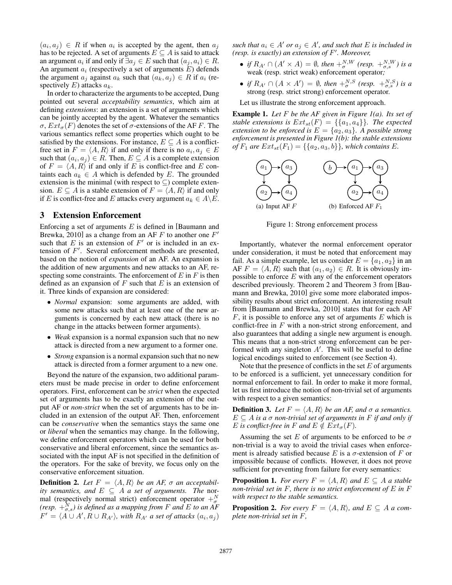$(a_i, a_j) \in R$  if when  $a_i$  is accepted by the agent, then  $a_j$ has to be rejected. A set of arguments  $E \subseteq A$  is said to attack an argument  $a_i$  if and only if  $\exists a_j \in E$  such that  $(a_j, a_i) \in R$ . An argument  $a_i$  (respectively a set of arguments  $E$ ) defends the argument  $a_i$  against  $a_k$  such that  $(a_k, a_j) \in R$  if  $a_i$  (respectively  $E$ ) attacks  $a_k$ .

In order to characterize the arguments to be accepted, Dung pointed out several *acceptability semantics*, which aim at defining *extensions*: an extension is a set of arguments which can be jointly accepted by the agent. Whatever the semantics  $\sigma$ ,  $Ext_{\sigma}(F)$  denotes the set of  $\sigma$ -extensions of the AF F. The various semantics reflect some properties which ought to be satisfied by the extensions. For instance,  $E \subseteq A$  is a conflictfree set in  $F = \langle A, R \rangle$  if and only if there is no  $a_i, a_j \in E$ such that  $(a_i, a_j) \in R$ . Then,  $E \subseteq A$  is a complete extension of  $F = \langle A, R \rangle$  if and only if E is conflict-free and E containts each  $a_k \in A$  which is defended by E. The grounded extension is the minimal (with respect to  $\subseteq$ ) complete extension.  $E \subseteq A$  is a stable extension of  $F = \langle A, R \rangle$  if and only if E is conflict-free and E attacks every argument  $a_k \in A \backslash E$ .

### 3 Extension Enforcement

Enforcing a set of arguments  $E$  is defined in [Baumann and Brewka, 2010] as a change from an AF  $F$  to another one  $F'$ such that  $E$  is an extension of  $F'$  or is included in an extension of  $F'$ . Several enforcement methods are presented, based on the notion of *expansion* of an AF. An expansion is the addition of new arguments and new attacks to an AF, respecting some constraints. The enforcement of  $E$  in  $F$  is then defined as an expansion of  $F$  such that  $E$  is an extension of it. Three kinds of expansion are considered:

- *Normal* expansion: some arguments are added, with some new attacks such that at least one of the new arguments is concerned by each new attack (there is no change in the attacks between former arguments).
- *Weak* expansion is a normal expansion such that no new attack is directed from a new argument to a former one.
- *Strong* expansion is a normal expansion such that no new attack is directed from a former argument to a new one.

Beyond the nature of the expansion, two additional parameters must be made precise in order to define enforcement operators. First, enforcement can be *strict* when the expected set of arguments has to be exactly an extension of the output AF or *non-strict* when the set of arguments has to be included in an extension of the output AF. Then, enforcement can be *conservative* when the semantics stays the same one or *liberal* when the semantics may change. In the following, we define enforcement operators which can be used for both conservative and liberal enforcement, since the semantics associated with the input AF is not specified in the definition of the operators. For the sake of brevity, we focus only on the conservative enforcement situation.

**Definition 2.** Let  $F = \langle A, R \rangle$  be an AF,  $\sigma$  an acceptabil*ity semantics, and*  $E \subseteq A$  *a set of arguments. The* normal (respectively normal strict) enforcement operator  $+\frac{N}{\sigma}$ *(resp.*  $+\frac{N}{\sigma,s}$ ) is defined as a mapping from F and E to an AF  $F' = \langle A \cup A', R \cup R_{A'} \rangle$ , with  $R_{A'}$  a set of attacks  $(a_i, a_j)$ 

 $\mathit{such that}\ a_i \in A'\ or\ a_j \in A',\ and\ such\ that\ E\ is\ included\ in$ *(resp. is exactly) an extension of* F 0 *. Moreover,*

- *if*  $R_{A'} \cap (A' \times A) = \emptyset$ , then  $+\frac{N}{\sigma}$ , (resp.  $+\frac{N}{\sigma}$ ,  $\frac{N}{\sigma}$ ) is a weak (resp. strict weak) enforcement operator*;*
- *if*  $R_{A'} \cap (A \times A') = \emptyset$ , then  $+_{\sigma}^{N,S}$  (resp.  $+_{\sigma,s}^{N,S}$ ) is a strong (resp. strict strong) enforcement operator*.*

Let us illustrate the strong enforcement approach.

Example 1. *Let* F *be the AF given in Figure 1(a). Its set of stable extensions is*  $Ext_{st}(F) = \{\{a_1, a_4\}\}\$ . The expected *extension to be enforced is*  $E = \{a_2, a_3\}$ *. A possible strong enforcement is presented in Figure 1(b): the stable extensions of*  $F_1$  *are*  $Ext_{st}(F_1) = \{\{a_2, a_3, b\}\}\$ , which contains E.



Figure 1: Strong enforcement process

Importantly, whatever the normal enforcement operator under consideration, it must be noted that enforcement may fail. As a simple example, let us consider  $E = \{a_1, a_2\}$  in an AF  $F = \langle A, R \rangle$  such that  $(a_1, a_2) \in R$ . It is obviously impossible to enforce  $E$  with any of the enforcement operators described previously. Theorem 2 and Theorem 3 from [Baumann and Brewka, 2010] give some more elaborated impossibility results about strict enforcement. An interesting result from [Baumann and Brewka, 2010] states that for each AF  $F$ , it is possible to enforce any set of arguments  $E$  which is conflict-free in  $F$  with a non-strict strong enforcement, and also guarantees that adding a single new argument is enough. This means that a non-strict strong enforcement can be performed with any singleton  $A'$ . This will be useful to define logical encodings suited to enforcement (see Section 4).

Note that the presence of conflicts in the set  $E$  of arguments to be enforced is a sufficient, yet unnecessary condition for normal enforcement to fail. In order to make it more formal, let us first introduce the notion of non-trivial set of arguments with respect to a given semantics:

**Definition 3.** *Let*  $F = \langle A, R \rangle$  *be an AF, and*  $\sigma$  *a semantics.*  $E \subseteq A$  *is a*  $\sigma$  *non-trivial set of arguments in*  $F$  *if and only if* E is conflict-free in F and  $E \notin Ext_{\sigma}(F)$ .

Assuming the set E of arguments to be enforced to be  $\sigma$ non-trivial is a way to avoid the trivial cases when enforcement is already satisfied because E is a  $\sigma$ -extension of F or impossible because of conflicts. However, it does not prove sufficient for preventing from failure for every semantics:

**Proposition 1.** *For every*  $F = \langle A, R \rangle$  *and*  $E \subseteq A$  *a stable non-trivial set in* F*, there is no strict enforcement of* E *in* F *with respect to the stable semantics.*

**Proposition 2.** *For every*  $F = \langle A, R \rangle$ *, and*  $E \subseteq A$  *a complete non-trivial set in* F*,*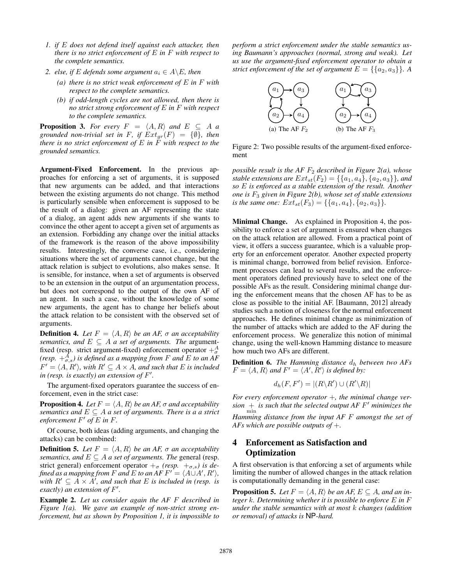- *1. if* E *does not defend itself against each attacker, then there is no strict enforcement of* E *in* F *with respect to the complete semantics.*
- *2. else, if* E *defends some argument*  $a_i \in A \backslash E$ *, then* 
	- *(a) there is no strict weak enforcement of* E *in* F *with respect to the complete semantics.*
	- *(b) if odd-length cycles are not allowed, then there is no strict strong enforcement of* E *in* F *with respect to the complete semantics.*

**Proposition 3.** For every  $F = \langle A, R \rangle$  and  $E \subseteq A$  *a grounded non-trivial set in* F, if  $Ext_{gr}(F) = \{\emptyset\}$ , then *there is no strict enforcement of*  $E$  *in*  $\tilde{F}$  *with respect to the grounded semantics.*

Argument-Fixed Enforcement. In the previous approaches for enforcing a set of arguments, it is supposed that new arguments can be added, and that interactions between the existing arguments do not change. This method is particularly sensible when enforcement is supposed to be the result of a dialog: given an AF representing the state of a dialog, an agent adds new arguments if she wants to convince the other agent to accept a given set of arguments as an extension. Forbidding any change over the initial attacks of the framework is the reason of the above impossibility results. Interestingly, the converse case, i.e., considering situations where the set of arguments cannot change, but the attack relation is subject to evolutions, also makes sense. It is sensible, for instance, when a set of arguments is observed to be an extension in the output of an argumentation process, but does not correspond to the output of the own AF of an agent. In such a case, without the knowledge of some new arguments, the agent has to change her beliefs about the attack relation to be consistent with the observed set of arguments.

**Definition 4.** Let  $F = \langle A, R \rangle$  be an AF,  $\sigma$  an acceptability *semantics, and*  $E \subseteq A$  *a set of arguments. The argument*fixed (resp. strict argument-fixed) enforcement operator  $+\frac{A}{\sigma}$ (resp.  $+_{\sigma,s}^A$ ) is defined as a mapping from F and E to an AF  $F' = \langle A, R' \rangle$ , with  $R' \subseteq A \times A$ , and such that E is included in (resp. is exactly) an extension of F'.

The argument-fixed operators guarantee the success of enforcement, even in the strict case:

**Proposition 4.** *Let*  $F = \langle A, R \rangle$  *be an AF,*  $\sigma$  *and acceptability semantics and*  $E \subseteq A$  *a set of arguments. There is a a strict* enforcement  $F'$  of  $E$  in  $F$ .

Of course, both ideas (adding arguments, and changing the attacks) can be combined:

**Definition 5.** Let  $F = \langle A, R \rangle$  be an AF,  $\sigma$  an acceptability *semantics, and*  $E \subseteq A$  *a set of arguments. The general (resp.* strict general) enforcement operator  $+_{\sigma}$  *(resp.*  $+_{\sigma,s}$ *) is defined as a mapping from*  $F$  *and*  $E$  *to an*  $AF F' = \langle A \cup A', R' \rangle$ , *with*  $R' \subseteq \overline{A} \times \overline{A'}$ , and such that  $E$  is included in (resp. is *exactly) an extension of* F 0 *.*

Example 2. *Let us consider again the AF* F *described in Figure 1(a). We gave an example of non-strict strong enforcement, but as shown by Proposition 1, it is impossible to* *perform a strict enforcement under the stable semantics using Baumann's approaches (normal, strong and weak). Let us use the argument-fixed enforcement operator to obtain a strict enforcement of the set of argument*  $E = \{\{a_2, a_3\}\}\.$  *A* 



Figure 2: Two possible results of the argument-fixed enforcement

*possible result is the AF*  $F_2$  *described in Figure 2(a), whose stable extensions are*  $Ext_{st}(F_2) = \{ \{a_1, a_4\}, \{a_2, a_3\} \}$ *, and so* E *is enforced as a stable extension of the result. Another one is* F<sup>3</sup> *given in Figure 2(b), whose set of stable extensions is the same one:*  $Ext_{st}(F_3) = \{\{a_1, a_4\}, \{a_2, a_3\}\}.$ 

Minimal Change. As explained in Proposition 4, the possibility to enforce a set of argument is ensured when changes on the attack relation are allowed. From a practical point of view, it offers a success guarantee, which is a valuable property for an enforcement operator. Another expected property is minimal change, borrowed from belief revision. Enforcement processes can lead to several results, and the enforcement operators defined previously have to select one of the possible AFs as the result. Considering minimal change during the enforcement means that the chosen AF has to be as close as possible to the initial AF. [Baumann, 2012] already studies such a notion of closeness for the normal enforcement approaches. He defines minimal change as minimization of the number of attacks which are added to the AF during the enforcement process. We generalize this notion of minimal change, using the well-known Hamming distance to measure how much two AFs are different.

**Definition 6.** *The Hamming distance*  $d_h$  *between two AFs*  $F = \langle A, R \rangle$  and  $F' = \langle A', R' \rangle$  is defined by:

$$
d_h(F, F') = |(R \backslash R') \cup (R' \backslash R)|
$$

*For every enforcement operator* +*, the minimal change ver-* $\frac{1}{\sinh}$  *is such that the selected output AF F' minimizes the* 

*Hamming distance from the input AF* F *amongst the set of AFs which are possible outputs of* +*.*

# 4 Enforcement as Satisfaction and **Optimization**

A first observation is that enforcing a set of arguments while limiting the number of allowed changes in the attack relation is computationally demanding in the general case:

**Proposition 5.** Let  $F = \langle A, R \rangle$  be an AF,  $E \subseteq A$ , and an in*teger* k*. Determining whether it is possible to enforce* E *in* F *under the stable semantics with at most* k *changes (addition or removal) of attacks is* NP*-hard.*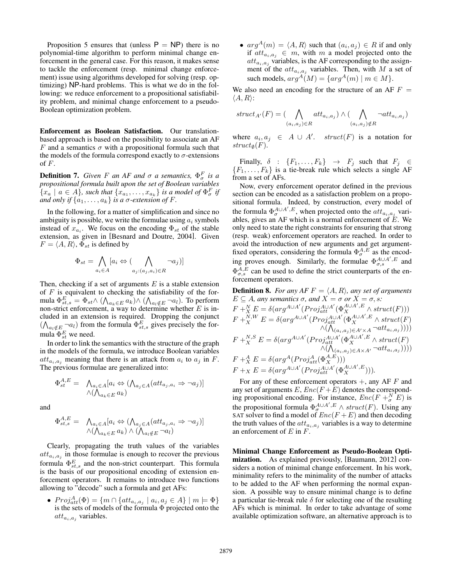Proposition 5 ensures that (unless  $P = NP$ ) there is no polynomial-time algorithm to perform minimal change enforcement in the general case. For this reason, it makes sense to tackle the enforcement (resp. minimal change enforcement) issue using algorithms developed for solving (resp. optimizing) NP-hard problems. This is what we do in the following: we reduce enforcement to a propositional satisfiability problem, and minimal change enforcement to a pseudo-Boolean optimization problem.

Enforcement as Boolean Satisfaction. Our translationbased approach is based on the possibility to associate an AF F and a semantics  $\sigma$  with a propositional formula such that the models of the formula correspond exactly to  $\sigma$ -extensions of  $F$ .

**Definition 7.** *Given*  $F$  *an AF and*  $\sigma$  *a semantics*,  $\Phi_{\sigma}^{F}$  *is a propositional formula built upon the set of Boolean variables*  ${x_a \mid a \in A}$ *, such that*  ${x_{a_1}, \ldots, x_{a_k}}$ *is a model of*  $\Phi_{\sigma}^F$  *if and only if*  $\{a_1, \ldots, a_k\}$  *is a*  $\sigma$ *-extension of* F.

In the following, for a matter of simplification and since no ambiguity is possible, we write the formulae using  $a_i$  symbols instead of  $x_{a_i}$ . We focus on the encoding  $\Phi_{st}$  of the stable extension, as given in [Besnard and Doutre, 2004]. Given  $F = \langle A, R \rangle$ ,  $\Phi_{st}$  is defined by

$$
\Phi_{st} = \bigwedge_{a_i \in A} [a_i \Leftrightarrow (\bigwedge_{a_j : (a_j, a_i) \in R} \neg a_j)]
$$

Then, checking if a set of arguments  $E$  is a stable extension of  $F$  is equivalent to checking the satisfiability of the formula  $\Phi_{st,s}^E = \Phi_{st} \wedge (\bigwedge_{a_k \in E} a_k) \wedge (\bigwedge_{a_l \notin E} \neg a_l)$ . To perform non-strict enforcement, a way to determine whether  $E$  is included in an extension is required. Dropping the conjunct  $(\bigwedge_{a_l \notin E} \neg a_l)$  from the formula  $\Phi_{st,s}^E$  gives precisely the formula  $\Phi_{st}^E$  we need.

In order to link the semantics with the structure of the graph in the models of the formula, we introduce Boolean variables  $att_{a_i,a_j}$  meaning that there is an attack from  $a_i$  to  $a_j$  in F. The previous formulae are generalized into:

$$
\Phi_{st}^{A,E} = \bigwedge_{\substack{a_i \in A}} [a_i \Leftrightarrow (\bigwedge_{a_j \in A} (att_{a_j,a_i} \Rightarrow \neg a_j)]
$$
  
  $\wedge (\bigwedge_{a_k \in E} a_k)$ 

and

$$
\Phi_{st,s}^{A,E} = \bigwedge_{\substack{a_i \in A}} [a_i \Leftrightarrow (\bigwedge_{\substack{a_j \in A}} (att_{a_j,a_i} \Rightarrow \neg a_j)]
$$
  
  $\wedge (\bigwedge_{a_k \in E} a_k) \wedge (\bigwedge_{a_l \notin E} \neg a_l)$ 

Clearly, propagating the truth values of the variables  $att_{a_i,a_j}$  in those formulae is enough to recover the previous formula  $\Phi_{st,s}^{E}$  and the non-strict counterpart. This formula is the basis of our propositional encoding of extension enforcement operators. It remains to introduce two functions allowing to "decode" such a formula and get AFs:

•  $Proj_{att}^{A}(\Phi) = \{ m \cap \{ att_{a_i, a_j} \mid a_i, a_j \in A \} \mid m \models \Phi \}$ is the sets of models of the formula  $\Phi$  projected onto the  $att_{a_i,a_j}$  variables.

•  $arg^A(m) = \langle A, R \rangle$  such that  $(a_i, a_j) \in R$  if and only if  $att_{a_i,a_j} \in m$ , with m a model projected onto the  $att_{a_i,a_j}$  variables, is the AF corresponding to the assignment of the  $att_{a_i,a_j}$  variables. Then, with M a set of such models,  $arg^A(M) = \{arg^A(m) | m \in M\}.$ 

We also need an encoding for the structure of an AF  $F =$  $\langle A, R \rangle$ :

$$
struct_{A'}(F) = (\bigwedge_{(a_i, a_j) \in R} att_{a_i, a_j}) \wedge (\bigwedge_{(a_i, a_j) \notin R} \neg att_{a_i, a_j})
$$

where  $a_i, a_j \in A \cup A'$ . struct(F) is a notation for  $struct_{\emptyset}(F).$ 

Finally,  $\delta$  :  $\{F_1, \ldots, F_k\}$   $\rightarrow$   $F_j$  such that  $F_j \in$  ${F_1, \ldots, F_k}$  is a tie-break rule which selects a single AF from a set of AFs.

Now, every enforcement operator defined in the previous section can be encoded as a satisfaction problem on a propositional formula. Indeed, by construction, every model of the formula  $\Phi_{\sigma}^{A \cup A', E}$ , when projected onto the  $\det_{a_i, a_j}$  variables, gives an AF which is a normal enforcement of  $E$ . We only need to state the right constraints for ensuring that strong (resp. weak) enforcement operators are reached. In order to avoid the introduction of new arguments and get argumentfixed operators, considering the formula  $\Phi_{\sigma}^{A,E}$  as the encoding proves enough. Similarly, the formulae  $\Phi_{\sigma,s}^{A\cup A',E}$  and  $\Phi_{\sigma,s}^{A,E}$  can be used to define the strict counterparts of the enforcement operators.

**Definition 8.** For any AF 
$$
F = \langle A, R \rangle
$$
, any set of arguments  
\n $E \subseteq A$ , any semantics  $\sigma$ , and  $X = \sigma$  or  $X = \sigma$ , s:  
\n $F + \frac{N}{X} E = \delta(\arg^{A \cup A'} (Proj_{att}^{A \cup A'} (\Phi_X^{A \cup A', E} \wedge struct(F)))$   
\n $F + \frac{N}{X} E = \delta(\arg^{A \cup A'} (Proj_{att}^{A \cup A'} (\Phi_X^{A \cup A', E} \wedge struct(F)) \wedge ((\bigwedge_{(a_i, a_j) \in A' \times A} \neg att_{a_i, a_j}))))$   
\n $F + \frac{N}{X} E = \delta(\arg^{A \cup A'} (Proj_{att}^{A \cup A'} (\Phi_X^{A \cup A', E} \wedge struct(F) \wedge ((\bigwedge_{(a_i, a_j) \in A \times A'} \neg att_{a_i, a_j}))))$   
\n $F + \frac{A}{X} E = \delta(\arg^A (Proj_{att}^{A \cup A'} (\Phi_X^{A \cup A', E})))$   
\n $F + X E = \delta(\arg^{A \cup A'} (Proj_{att}^{A \cup A'} (\Phi_X^{A \cup A', E}))).$ 

For any of these enforcement operators  $+$ , any AF F and any set of arguments  $E$ ,  $Enc(F + E)$  denotes the corresponding propositional encoding. For instance,  $Enc(F + \frac{N}{\sigma}E)$  is the propositional formula  $\Phi_{\sigma}^{A \cup A', E} \wedge struct(F)$ . Using any SAT solver to find a model of  $Enc(F + E)$  and then decoding the truth values of the  $att_{a_i,a_j}$  variables is a way to determine an enforcement of  $E$  in  $F$ .

Minimal Change Enforcement as Pseudo-Boolean Optimization. As explained previously, [Baumann, 2012] considers a notion of minimal change enforcement. In his work, minimality refers to the minimality of the number of attacks to be added to the AF when performing the normal expansion. A possible way to ensure minimal change is to define a particular tie-break rule  $\delta$  for selecting one of the resulting AFs which is minimal. In order to take advantage of some available optimization software, an alternative approach is to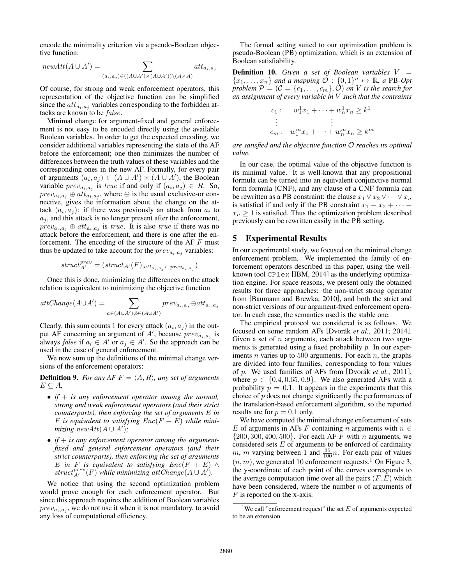encode the minimality criterion via a pseudo-Boolean objective function:

$$
newAtt(A \cup A') = \sum_{(a_i, a_j) \in ((A \cup A') \times (A \cup A')) \setminus (A \times A)} att_{a_i, a_j}
$$

Of course, for strong and weak enforcement operators, this representation of the objective function can be simplified since the  $att_{a_i,a_j}$  variables corresponding to the forbidden attacks are known to be false.

Minimal change for argument-fixed and general enforcement is not easy to be encoded directly using the available Boolean variables. In order to get the expected encoding, we consider additional variables representing the state of the AF before the enforcement; one then minimizes the number of differences between the truth values of these variables and the corresponding ones in the new AF. Formally, for every pair of arguments  $(a_i, a_j) \in (A \cup A') \times (A \cup A')$ , the Boolean variable  $prev_{a_i, a_j}$  is *true* if and only if  $(a_i, a_j) \in R$ . So,  $prev_{a_i, a_j} \oplus att_{a_i, a_j}$ , where  $\oplus$  is the usual exclusive-or connective, gives the information about the change on the attack  $(a_i, a_j)$ : if there was previously an attack from  $a_i$  to  $a_j$ , and this attack is no longer present after the enforcement,  $prev_{a_i, a_j} \oplus att_{a_i, a_j}$  is *true*. It is also *true* if there was no attack before the enforcement, and there is one after the enforcement. The encoding of the structure of the  $AF \, F$  must thus be updated to take account for the  $prev_{a_i, a_j}$  variables:

$$
struct_{A'}^{prev} = (struct_{A'}(F)_{|att_{a_i, a_j} \leftarrow prev_{a_i, a_j}})
$$

Once this is done, minimizing the differences on the attack relation is equivalent to minimizing the objective function

$$
attChange(A \cup A') = \sum_{a \in (A \cup A'), b \in (A \cup A')} prev_{a_i, a_j} \oplus att_{a_i, a_j}
$$

Clearly, this sum counts 1 for every attack  $(a_i, a_j)$  in the output AF concerning an argument of A', because  $prev_{a_i, a_j}$  is always *false* if  $a_i \in A'$  or  $a_j \in A'$ . So the approach can be used in the case of general enforcement.

We now sum up the definitions of the minimal change versions of the enforcement operators:

**Definition 9.** *For any AF*  $F = \langle A, R \rangle$ *, any set of arguments*  $E \subseteq A$ ,

- *if* + *is any enforcement operator among the normal, strong and weak enforcement operators (and their strict counterparts), then enforcing the set of arguments* E *in* F is equivalent to satisfying  $Enc(F + E)$  while mini $mixing \ newAtt(A \cup A');$
- $\bullet$  *if*  $+$  *is any enforcement operator among the argumentfixed and general enforcement operators (and their strict counterparts), then enforcing the set of arguments* E in F is equivalent to satisfying  $Enc(F + E) \wedge$  $struct^{prev}_{A'}(F)$  *while minimizing*  $attChange(A \cup A')$ .

We notice that using the second optimization problem would prove enough for each enforcement operator. But since this approach requires the addition of Boolean variables  $prev_{a_i, a_j}$ , we do not use it when it is not mandatory, to avoid any loss of computational efficiency.

The formal setting suited to our optimization problem is pseudo-Boolean (PB) optimization, which is an extension of Boolean satisfiability.

**Definition 10.** *Given a set of Boolean variables*  $V =$  ${x_1, \ldots, x_n}$  *and a mapping*  $\check{\mathcal{O}} : \{0,1\}^n \mapsto \mathbb{R}$ , a PB-Opt *problem*  $P = (\mathcal{C} = \{c_1, \ldots, c_m\}, \mathcal{O})$  *on V is the search for an assignment of every variable in* V *such that the contraints*

$$
c_1: \t w_1^1 x_1 + \cdots + w_n^1 x_n \geq k^1
$$
  
\n
$$
\vdots \t \vdots
$$
  
\n
$$
c_m: \t w_1^m x_1 + \cdots + w_n^m x_n \geq k^m
$$

*are satisfied and the objective function* O *reaches its optimal value.*

In our case, the optimal value of the objective function is its minimal value. It is well-known that any propositional formula can be turned into an equivalent conjunctive normal form formula (CNF), and any clause of a CNF formula can be rewritten as a PB constraint: the clause  $x_1 \vee x_2 \vee \cdots \vee x_n$ is satisfied if and only if the PB constraint  $x_1 + x_2 + \cdots$  $x_n \geq 1$  is satisfied. Thus the optimization problem described previously can be rewritten easily in the PB setting.

### 5 Experimental Results

In our experimental study, we focused on the minimal change enforcement problem. We implemented the family of enforcement operators described in this paper, using the wellknown tool  $\text{CPlex}$  [IBM, 2014] as the underlying optimization engine. For space reasons, we present only the obtained results for three approaches: the non-strict strong operator from [Baumann and Brewka, 2010], and both the strict and non-strict versions of our argument-fixed enforcement operator. In each case, the semantics used is the stable one.

The empirical protocol we considered is as follows. We focused on some random AFs [Dvorák *et al.*, 2011; 2014]. Given a set of  $n$  arguments, each attack between two arguments is generated using a fixed probability p. In our experiments *n* varies up to 500 arguments. For each *n*, the graphs are divided into four families, corresponding to four values of p. We used families of AFs from [Dvorák *et al.*, 2011], where  $p \in \{0.4, 0.65, 0.9\}$ . We also generated AFs with a probability  $p = 0.1$ . It appears in the experiments that this choice of  $p$  does not change significantly the performances of the translation-based enforcement algorithm, so the reported results are for  $p = 0.1$  only.

We have computed the minimal change enforcement of sets E of arguments in AFs F containing n arguments with  $n \in$  $\{200, 300, 400, 500\}$ . For each AF F with n arguments, we considered sets  $E$  of arguments to be enforced of cardinality m, m varying between 1 and  $\frac{35}{100}n$ . For each pair of values  $(n, m)$ , we generated 10 enforcement requests.<sup>1</sup> On Figure 3, the y-coordinate of each point of the curves corresponds to the average computation time over all the pairs  $(F, E)$  which have been considered, where the number  $n$  of arguments of  $F$  is reported on the x-axis.

<sup>&</sup>lt;sup>1</sup>We call "enforcement request" the set  $E$  of arguments expected to be an extension.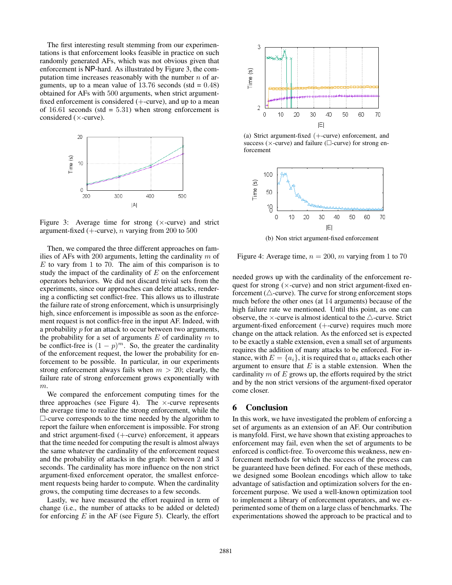The first interesting result stemming from our experimentations is that enforcement looks feasible in practice on such randomly generated AFs, which was not obvious given that enforcement is NP-hard. As illustrated by Figure 3, the computation time increases reasonably with the number  $n$  of arguments, up to a mean value of  $13.76$  seconds (std =  $0.48$ ) obtained for AFs with 500 arguments, when strict argumentfixed enforcement is considered  $(+)$ -curve), and up to a mean of 16.61 seconds (std =  $5.31$ ) when strong enforcement is considered (×-curve).



Figure 3: Average time for strong  $(\times$ -curve) and strict argument-fixed (+-curve),  $n$  varying from 200 to 500

Then, we compared the three different approaches on families of AFs with 200 arguments, letting the cardinality  $m$  of  $E$  to vary from 1 to 70. The aim of this comparison is to study the impact of the cardinality of  $E$  on the enforcement operators behaviors. We did not discard trivial sets from the experiments, since our approaches can delete attacks, rendering a conflicting set conflict-free. This allows us to illustrate the failure rate of strong enforcement, which is unsurprisingly high, since enforcement is impossible as soon as the enforcement request is not conflict-free in the input AF. Indeed, with a probability p for an attack to occur between two arguments, the probability for a set of arguments  $E$  of cardinality  $m$  to be conflict-free is  $(1 - p)^m$ . So, the greater the cardinality of the enforcement request, the lower the probability for enforcement to be possible. In particular, in our experiments strong enforcement always fails when  $m > 20$ ; clearly, the failure rate of strong enforcement grows exponentially with m.

We compared the enforcement computing times for the three approaches (see Figure 4). The  $\times$ -curve represents the average time to realize the strong enforcement, while the  $\Box$ -curve corresponds to the time needed by the algorithm to report the failure when enforcement is impossible. For strong and strict argument-fixed (+-curve) enforcement, it appears that the time needed for computing the result is almost always the same whatever the cardinality of the enforcement request and the probability of attacks in the graph: between 2 and 3 seconds. The cardinality has more influence on the non strict argument-fixed enforcement operator, the smallest enforcement requests being harder to compute. When the cardinality grows, the computing time decreases to a few seconds.

Lastly, we have measured the effort required in term of change (i.e., the number of attacks to be added or deleted) for enforcing  $E$  in the AF (see Figure 5). Clearly, the effort



(a) Strict argument-fixed (+-curve) enforcement, and success ( $\times$ -curve) and failure ( $\Box$ -curve) for strong enforcement



(b) Non strict argument-fixed enforcement

Figure 4: Average time,  $n = 200$ , m varying from 1 to 70

needed grows up with the cardinality of the enforcement request for strong  $(x$ -curve) and non strict argument-fixed enforcement ( $\triangle$ -curve). The curve for strong enforcement stops much before the other ones (at 14 arguments) because of the high failure rate we mentioned. Until this point, as one can observe, the  $\times$ -curve is almost identical to the  $\triangle$ -curve. Strict argument-fixed enforcement (+-curve) requires much more change on the attack relation. As the enforced set is expected to be exactly a stable extension, even a small set of arguments requires the addition of many attacks to be enforced. For instance, with  $E = \{a_i\}$ , it is required that  $a_i$  attacks each other argument to ensure that  $E$  is a stable extension. When the cardinality  $m$  of  $E$  grows up, the efforts required by the strict and by the non strict versions of the argument-fixed operator come closer.

### 6 Conclusion

In this work, we have investigated the problem of enforcing a set of arguments as an extension of an AF. Our contribution is manyfold. First, we have shown that existing approaches to enforcement may fail, even when the set of arguments to be enforced is conflict-free. To overcome this weakness, new enforcement methods for which the success of the process can be guaranteed have been defined. For each of these methods, we designed some Boolean encodings which allow to take advantage of satisfaction and optimization solvers for the enforcement purpose. We used a well-known optimization tool to implement a library of enforcement operators, and we experimented some of them on a large class of benchmarks. The experimentations showed the approach to be practical and to